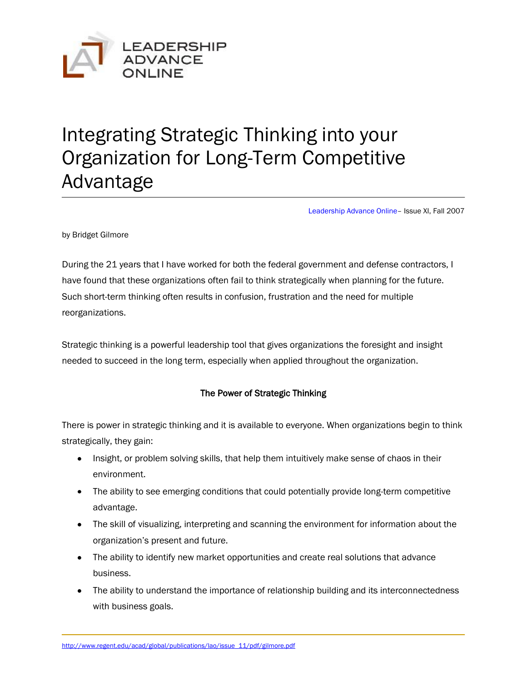

# Integrating Strategic Thinking into your Organization for Long-Term Competitive Advantage

[Leadership Advance Online](http://www.regent.edu/acad/global/publications/lao/)– Issue XI, Fall 2007

by Bridget Gilmore

During the 21 years that I have worked for both the federal government and defense contractors, I have found that these organizations often fail to think strategically when planning for the future. Such short-term thinking often results in confusion, frustration and the need for multiple reorganizations.

Strategic thinking is a powerful leadership tool that gives organizations the foresight and insight needed to succeed in the long term, especially when applied throughout the organization.

# The Power of Strategic Thinking

There is power in strategic thinking and it is available to everyone. When organizations begin to think strategically, they gain:

- Insight, or problem solving skills, that help them intuitively make sense of chaos in their environment.
- The ability to see emerging conditions that could potentially provide long-term competitive advantage.
- The skill of visualizing, interpreting and scanning the environment for information about the organization's present and future.
- The ability to identify new market opportunities and create real solutions that advance business.
- The ability to understand the importance of relationship building and its interconnectedness with business goals.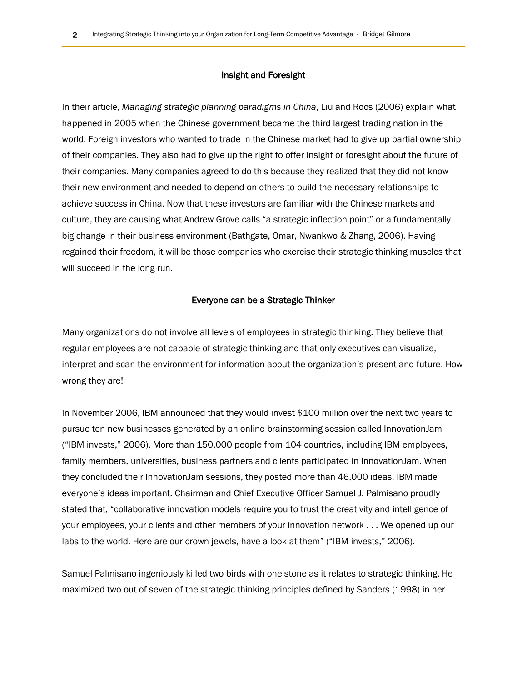#### Insight and Foresight

In their article, *Managing strategic planning paradigms in China*, Liu and Roos (2006) explain what happened in 2005 when the Chinese government became the third largest trading nation in the world. Foreign investors who wanted to trade in the Chinese market had to give up partial ownership of their companies. They also had to give up the right to offer insight or foresight about the future of their companies. Many companies agreed to do this because they realized that they did not know their new environment and needed to depend on others to build the necessary relationships to achieve success in China. Now that these investors are familiar with the Chinese markets and culture, they are causing what Andrew Grove calls "a strategic inflection point" or a fundamentally big change in their business environment (Bathgate, Omar, Nwankwo & Zhang, 2006). Having regained their freedom, it will be those companies who exercise their strategic thinking muscles that will succeed in the long run.

### Everyone can be a Strategic Thinker

Many organizations do not involve all levels of employees in strategic thinking. They believe that regular employees are not capable of strategic thinking and that only executives can visualize, interpret and scan the environment for information about the organization's present and future. How wrong they are!

In November 2006, IBM announced that they would invest \$100 million over the next two years to pursue ten new businesses generated by an online brainstorming session called InnovationJam ("IBM invests," 2006). More than 150,000 people from 104 countries, including IBM employees, family members, universities, business partners and clients participated in InnovationJam. When they concluded their InnovationJam sessions, they posted more than 46,000 ideas. IBM made everyone's ideas important. Chairman and Chief Executive Officer Samuel J. Palmisano proudly stated that, "collaborative innovation models require you to trust the creativity and intelligence of your employees, your clients and other members of your innovation network . . . We opened up our labs to the world. Here are our crown jewels, have a look at them" ("IBM invests," 2006).

Samuel Palmisano ingeniously killed two birds with one stone as it relates to strategic thinking. He maximized two out of seven of the strategic thinking principles defined by Sanders (1998) in her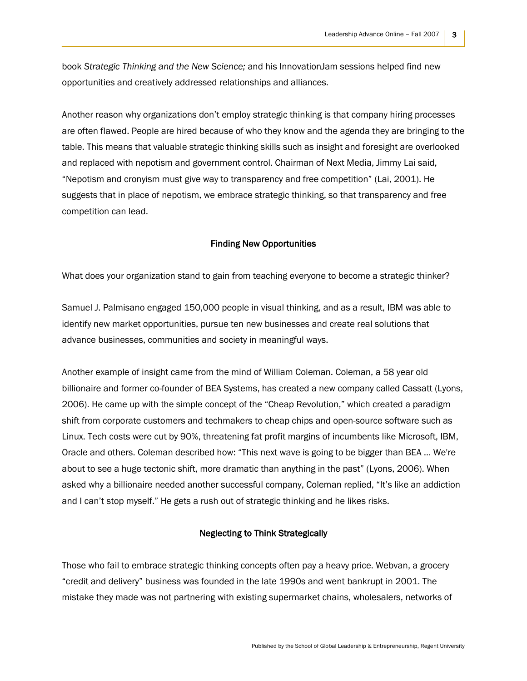book *Strategic Thinking and the New Science;* and his InnovationJam sessions helped find new opportunities and creatively addressed relationships and alliances.

Another reason why organizations don't employ strategic thinking is that company hiring processes are often flawed. People are hired because of who they know and the agenda they are bringing to the table. This means that valuable strategic thinking skills such as insight and foresight are overlooked and replaced with nepotism and government control. Chairman of Next Media, Jimmy Lai said, "Nepotism and cronyism must give way to transparency and free competition" (Lai, 2001). He suggests that in place of nepotism, we embrace strategic thinking, so that transparency and free competition can lead.

### Finding New Opportunities

What does your organization stand to gain from teaching everyone to become a strategic thinker?

Samuel J. Palmisano engaged 150,000 people in visual thinking, and as a result, IBM was able to identify new market opportunities, pursue ten new businesses and create real solutions that advance businesses, communities and society in meaningful ways.

Another example of insight came from the mind of William Coleman. Coleman, a 58 year old billionaire and former co-founder of BEA Systems, has created a new company called Cassatt (Lyons, 2006). He came up with the simple concept of the "Cheap Revolution," which created a paradigm shift from corporate customers and techmakers to cheap chips and open-source software such as Linux. Tech costs were cut by 90%, threatening fat profit margins of incumbents like Microsoft, IBM, Oracle and others. Coleman described how: "This next wave is going to be bigger than BEA … We're about to see a huge tectonic shift, more dramatic than anything in the past" (Lyons, 2006). When asked why a billionaire needed another successful company, Coleman replied, "It's like an addiction and I can't stop myself." He gets a rush out of strategic thinking and he likes risks.

#### Neglecting to Think Strategically

Those who fail to embrace strategic thinking concepts often pay a heavy price. Webvan, a grocery "credit and delivery" business was founded in the late 1990s and went bankrupt in 2001. The mistake they made was not partnering with existing supermarket chains, wholesalers, networks of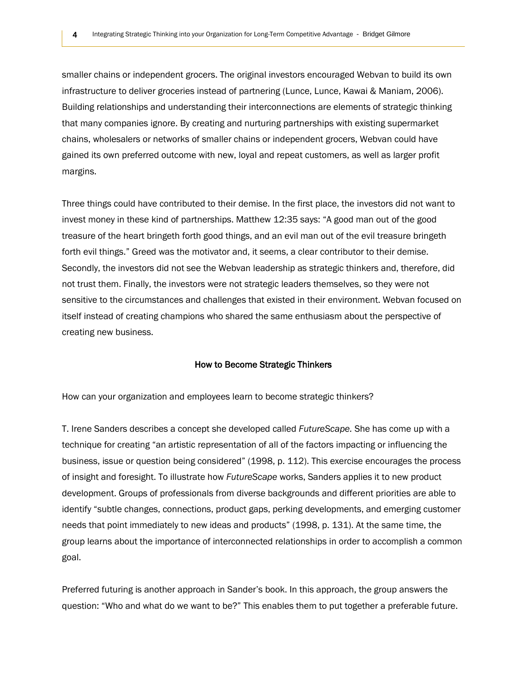smaller chains or independent grocers. The original investors encouraged Webvan to build its own infrastructure to deliver groceries instead of partnering (Lunce, Lunce, Kawai & Maniam, 2006). Building relationships and understanding their interconnections are elements of strategic thinking that many companies ignore. By creating and nurturing partnerships with existing supermarket chains, wholesalers or networks of smaller chains or independent grocers, Webvan could have gained its own preferred outcome with new, loyal and repeat customers, as well as larger profit margins.

Three things could have contributed to their demise. In the first place, the investors did not want to invest money in these kind of partnerships. Matthew 12:35 says: "A good man out of the good treasure of the heart bringeth forth good things, and an evil man out of the evil treasure bringeth forth evil things." Greed was the motivator and, it seems, a clear contributor to their demise. Secondly, the investors did not see the Webvan leadership as strategic thinkers and, therefore, did not trust them. Finally, the investors were not strategic leaders themselves, so they were not sensitive to the circumstances and challenges that existed in their environment. Webvan focused on itself instead of creating champions who shared the same enthusiasm about the perspective of creating new business.

#### How to Become Strategic Thinkers

How can your organization and employees learn to become strategic thinkers?

T. Irene Sanders describes a concept she developed called *FutureScape.* She has come up with a technique for creating "an artistic representation of all of the factors impacting or influencing the business, issue or question being considered" (1998, p. 112). This exercise encourages the process of insight and foresight. To illustrate how *FutureScape* works, Sanders applies it to new product development. Groups of professionals from diverse backgrounds and different priorities are able to identify "subtle changes, connections, product gaps, perking developments, and emerging customer needs that point immediately to new ideas and products" (1998, p. 131). At the same time, the group learns about the importance of interconnected relationships in order to accomplish a common goal.

Preferred futuring is another approach in Sander's book. In this approach, the group answers the question: "Who and what do we want to be?" This enables them to put together a preferable future.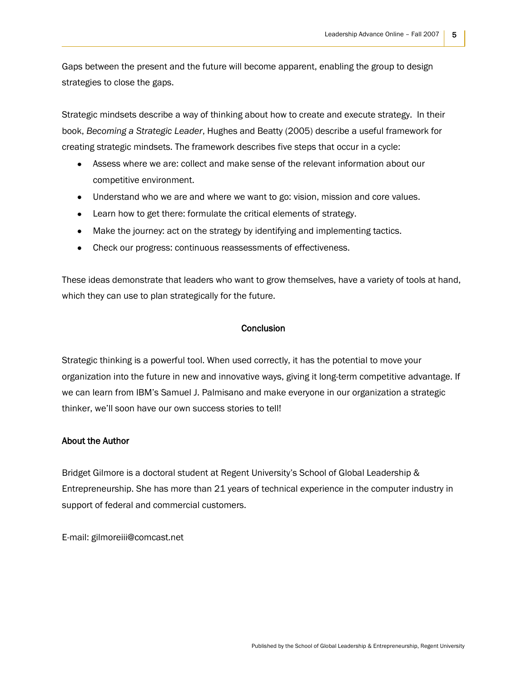Gaps between the present and the future will become apparent, enabling the group to design strategies to close the gaps.

Strategic mindsets describe a way of thinking about how to create and execute strategy. In their book, *Becoming a Strategic Leader*, Hughes and Beatty (2005) describe a useful framework for creating strategic mindsets. The framework describes five steps that occur in a cycle:

- Assess where we are: collect and make sense of the relevant information about our competitive environment.
- Understand who we are and where we want to go: vision, mission and core values.
- Learn how to get there: formulate the critical elements of strategy.
- Make the journey: act on the strategy by identifying and implementing tactics.
- Check our progress: continuous reassessments of effectiveness.

These ideas demonstrate that leaders who want to grow themselves, have a variety of tools at hand, which they can use to plan strategically for the future.

### **Conclusion**

Strategic thinking is a powerful tool. When used correctly, it has the potential to move your organization into the future in new and innovative ways, giving it long-term competitive advantage. If we can learn from IBM's Samuel J. Palmisano and make everyone in our organization a strategic thinker, we'll soon have our own success stories to tell!

#### About the Author

Bridget Gilmore is a doctoral student at Regent University's School of Global Leadership & Entrepreneurship. She has more than 21 years of technical experience in the computer industry in support of federal and commercial customers.

E-mail: [gilmoreiii@comcast.net](mailto:gilmoreiii@comcast.net)